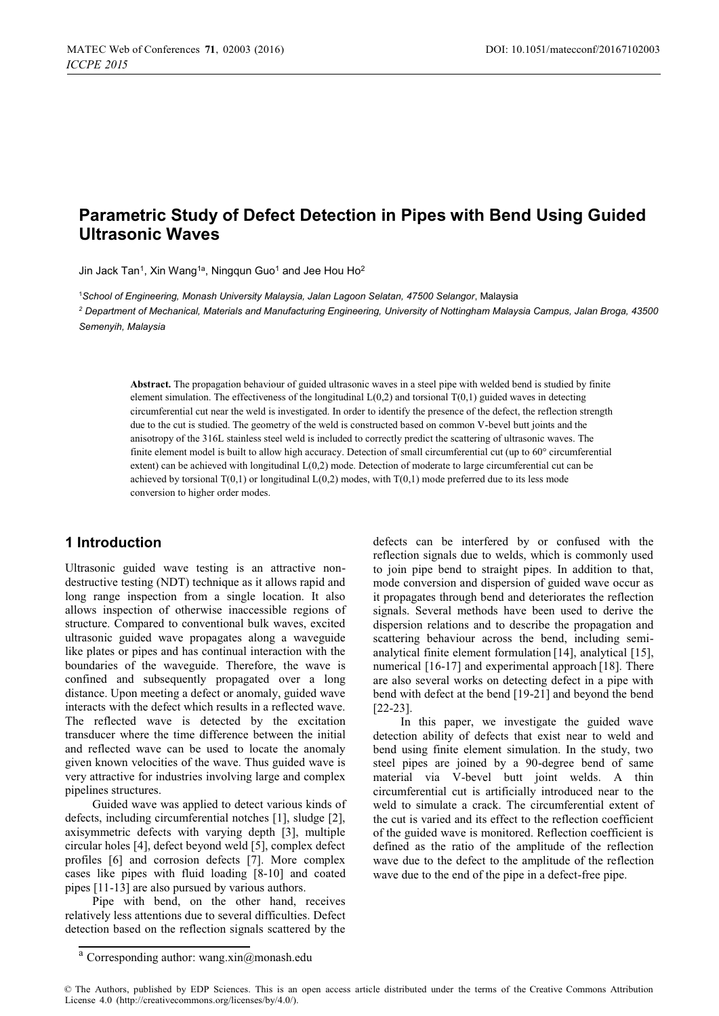# **Parametric Study of Defect Detection in Pipes with Bend Using Guided Ultrasonic Waves**

Jin Jack Tan<sup>1</sup>, Xin Wang<sup>1a</sup>, Ningqun Guo<sup>1</sup> and Jee Hou Ho<sup>2</sup>

1 *School of Engineering, Monash University Malaysia, Jalan Lagoon Selatan, 47500 Selangor*, Malaysia *2 Department of Mechanical, Materials and Manufacturing Engineering, University of Nottingham Malaysia Campus, Jalan Broga, 43500* 

*Semenyih, Malaysia* 

**Abstract.** The propagation behaviour of guided ultrasonic waves in a steel pipe with welded bend is studied by finite element simulation. The effectiveness of the longitudinal  $L(0,2)$  and torsional  $T(0,1)$  guided waves in detecting circumferential cut near the weld is investigated. In order to identify the presence of the defect, the reflection strength due to the cut is studied. The geometry of the weld is constructed based on common V-bevel butt joints and the anisotropy of the 316L stainless steel weld is included to correctly predict the scattering of ultrasonic waves. The finite element model is built to allow high accuracy. Detection of small circumferential cut (up to 60° circumferential extent) can be achieved with longitudinal L(0,2) mode. Detection of moderate to large circumferential cut can be achieved by torsional  $T(0,1)$  or longitudinal  $L(0,2)$  modes, with  $T(0,1)$  mode preferred due to its less mode conversion to higher order modes.

#### **1 Introduction**

Ultrasonic guided wave testing is an attractive nondestructive testing (NDT) technique as it allows rapid and long range inspection from a single location. It also allows inspection of otherwise inaccessible regions of structure. Compared to conventional bulk waves, excited ultrasonic guided wave propagates along a waveguide like plates or pipes and has continual interaction with the boundaries of the waveguide. Therefore, the wave is confined and subsequently propagated over a long distance. Upon meeting a defect or anomaly, guided wave interacts with the defect which results in a reflected wave. The reflected wave is detected by the excitation transducer where the time difference between the initial and reflected wave can be used to locate the anomaly given known velocities of the wave. Thus guided wave is very attractive for industries involving large and complex pipelines structures.

Guided wave was applied to detect various kinds of defects, including circumferential notches [1], sludge [2], axisymmetric defects with varying depth [3], multiple circular holes [4], defect beyond weld [5], complex defect profiles [6] and corrosion defects [7]. More complex cases like pipes with fluid loading [8-10] and coated pipes [11-13] are also pursued by various authors.

Pipe with bend, on the other hand, receives relatively less attentions due to several difficulties. Defect detection based on the reflection signals scattered by the

defects can be interfered by or confused with the reflection signals due to welds, which is commonly used to join pipe bend to straight pipes. In addition to that, mode conversion and dispersion of guided wave occur as it propagates through bend and deteriorates the reflection signals. Several methods have been used to derive the dispersion relations and to describe the propagation and scattering behaviour across the bend, including semianalytical finite element formulation [14], analytical [15], numerical [16-17] and experimental approach [18]. There are also several works on detecting defect in a pipe with bend with defect at the bend [19-21] and beyond the bend [22-23].

In this paper, we investigate the guided wave detection ability of defects that exist near to weld and bend using finite element simulation. In the study, two steel pipes are joined by a 90-degree bend of same material via V-bevel butt joint welds. A thin circumferential cut is artificially introduced near to the weld to simulate a crack. The circumferential extent of the cut is varied and its effect to the reflection coefficient of the guided wave is monitored. Reflection coefficient is defined as the ratio of the amplitude of the reflection wave due to the defect to the amplitude of the reflection wave due to the end of the pipe in a defect-free pipe.

<sup>&</sup>lt;sup>a</sup> Corresponding author: wang.xin@monash.edu

<sup>©</sup> The Authors, published by EDP Sciences. This is an open access article distributed under the terms of the Creative Commons Attribution License 4.0 (http://creativecommons.org/licenses/by/4.0/).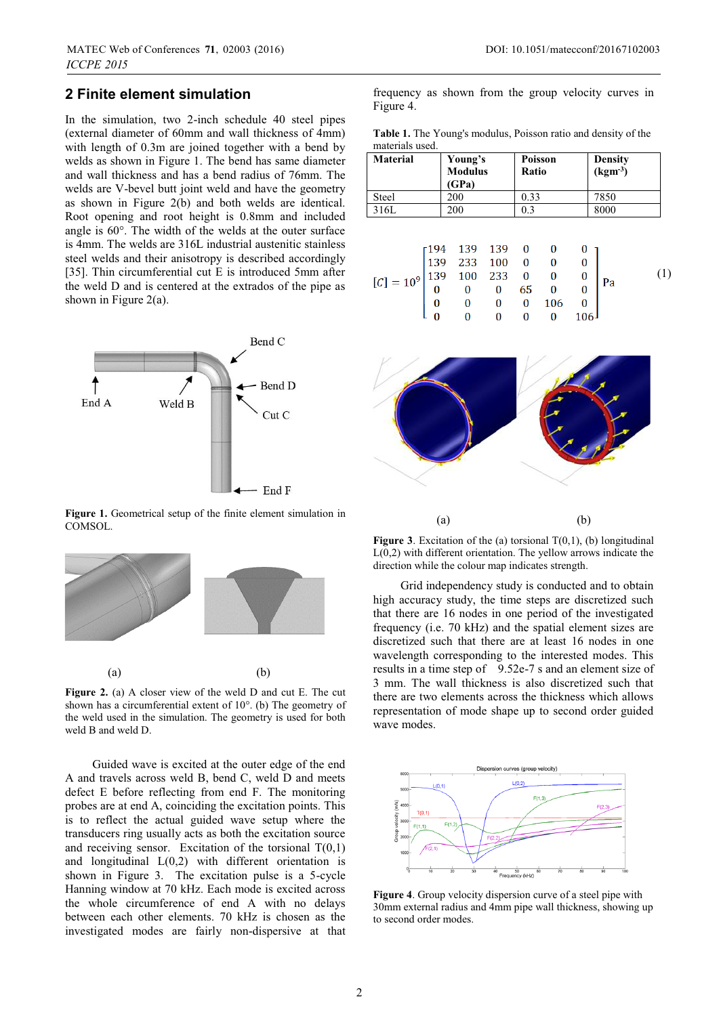### **2 Finite element simulation**

In the simulation, two 2-inch schedule 40 steel pipes (external diameter of 60mm and wall thickness of 4mm) with length of 0.3m are joined together with a bend by welds as shown in Figure 1. The bend has same diameter and wall thickness and has a bend radius of 76mm. The welds are V-bevel butt joint weld and have the geometry as shown in Figure 2(b) and both welds are identical. Root opening and root height is 0.8mm and included angle is 60°. The width of the welds at the outer surface is 4mm. The welds are 316L industrial austenitic stainless steel welds and their anisotropy is described accordingly [35]. Thin circumferential cut E is introduced 5mm after the weld D and is centered at the extrados of the pipe as shown in Figure 2(a).



**Figure 1.** Geometrical setup of the finite element simulation in COMSOL.



**Figure 2.** (a) A closer view of the weld D and cut E. The cut shown has a circumferential extent of 10°. (b) The geometry of the weld used in the simulation. The geometry is used for both weld B and weld D.

Guided wave is excited at the outer edge of the end A and travels across weld B, bend C, weld D and meets defect E before reflecting from end F. The monitoring probes are at end A, coinciding the excitation points. This is to reflect the actual guided wave setup where the transducers ring usually acts as both the excitation source and receiving sensor. Excitation of the torsional  $T(0,1)$ and longitudinal  $L(0,2)$  with different orientation is shown in Figure 3. The excitation pulse is a 5-cycle Hanning window at 70 kHz. Each mode is excited across the whole circumference of end A with no delays between each other elements. 70 kHz is chosen as the investigated modes are fairly non-dispersive at that

frequency as shown from the group velocity curves in Figure 4.

**Table 1.** The Young's modulus, Poisson ratio and density of the materials used.

| <b>Material</b> | Young's<br><b>Modulus</b><br>(GPa) | Poisson<br>Ratio | <b>Density</b><br>$(kgm-3)$ |
|-----------------|------------------------------------|------------------|-----------------------------|
| <b>Steel</b>    | 200                                | 0.33             | 7850                        |
| 316L            | 200                                | 0.3              | 8000                        |

| $[C]=10^9\begin{bmatrix} 194 & 139 & 139 & 0 & 0 & 0 \\ 139 & 233 & 100 & 0 & 0 & 0 \\ 139 & 100 & 233 & 0 & 0 & 0 \\ 0 & 0 & 0 & 65 & 0 & 0 \\ 0 & 0 & 0 & 0 & 106 & 0 \\ 0 & 0 & 0 & 0 & 0 & 106 \end{bmatrix} \text{Pa}$ |  |  |  |  |  |
|-----------------------------------------------------------------------------------------------------------------------------------------------------------------------------------------------------------------------------|--|--|--|--|--|
|                                                                                                                                                                                                                             |  |  |  |  |  |
|                                                                                                                                                                                                                             |  |  |  |  |  |
|                                                                                                                                                                                                                             |  |  |  |  |  |
|                                                                                                                                                                                                                             |  |  |  |  |  |
|                                                                                                                                                                                                                             |  |  |  |  |  |



**Figure 3.** Excitation of the (a) torsional  $T(0,1)$ , (b) longitudinal L(0,2) with different orientation. The yellow arrows indicate the direction while the colour map indicates strength.

Grid independency study is conducted and to obtain high accuracy study, the time steps are discretized such that there are 16 nodes in one period of the investigated frequency (i.e. 70 kHz) and the spatial element sizes are discretized such that there are at least 16 nodes in one wavelength corresponding to the interested modes. This results in a time step of 9.52e-7 s and an element size of 3 mm. The wall thickness is also discretized such that there are two elements across the thickness which allows representation of mode shape up to second order guided wave modes.



**Figure 4**. Group velocity dispersion curve of a steel pipe with 30mm external radius and 4mm pipe wall thickness, showing up to second order modes.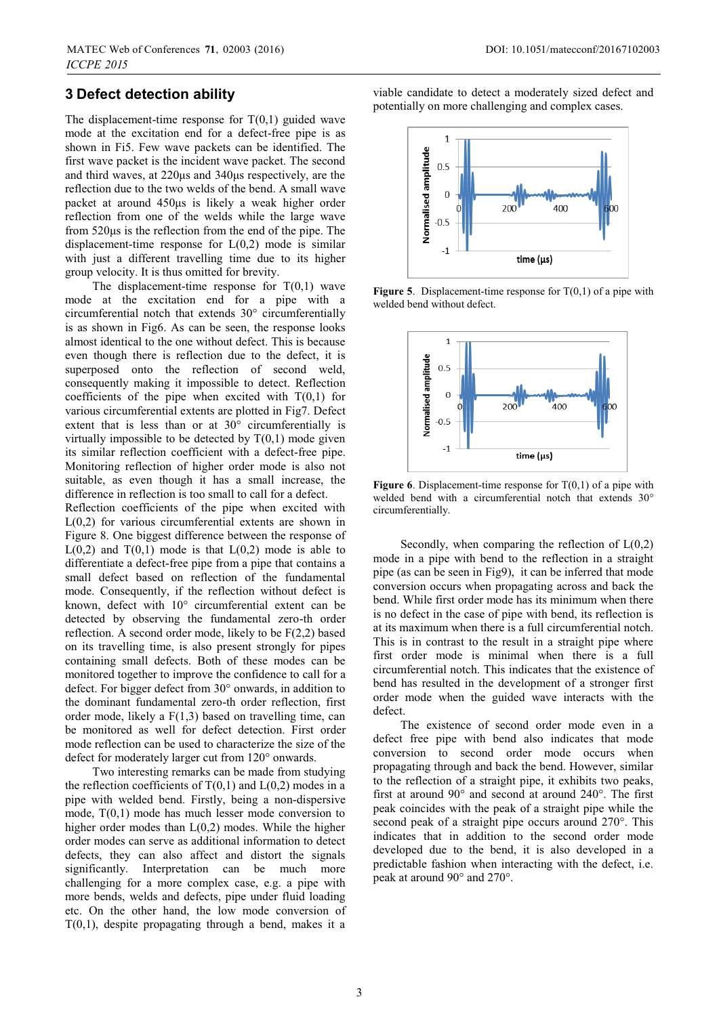### **3 Defect detection ability**

The displacement-time response for  $T(0,1)$  guided wave mode at the excitation end for a defect-free pipe is as shown in Fi5. Few wave packets can be identified. The first wave packet is the incident wave packet. The second and third waves, at 220μs and 340μs respectively, are the reflection due to the two welds of the bend. A small wave packet at around 450μs is likely a weak higher order reflection from one of the welds while the large wave from 520μs is the reflection from the end of the pipe. The displacement-time response for  $L(0,2)$  mode is similar with just a different travelling time due to its higher group velocity. It is thus omitted for brevity.

The displacement-time response for  $T(0,1)$  wave mode at the excitation end for a pipe with a circumferential notch that extends 30° circumferentially is as shown in Fig6. As can be seen, the response looks almost identical to the one without defect. This is because even though there is reflection due to the defect, it is superposed onto the reflection of second weld, consequently making it impossible to detect. Reflection coefficients of the pipe when excited with  $T(0,1)$  for various circumferential extents are plotted in Fig7. Defect extent that is less than or at 30° circumferentially is virtually impossible to be detected by  $T(0,1)$  mode given its similar reflection coefficient with a defect-free pipe. Monitoring reflection of higher order mode is also not suitable, as even though it has a small increase, the difference in reflection is too small to call for a defect.

Reflection coefficients of the pipe when excited with L(0,2) for various circumferential extents are shown in Figure 8. One biggest difference between the response of  $L(0,2)$  and  $T(0,1)$  mode is that  $L(0,2)$  mode is able to differentiate a defect-free pipe from a pipe that contains a small defect based on reflection of the fundamental mode. Consequently, if the reflection without defect is known, defect with 10° circumferential extent can be detected by observing the fundamental zero-th order reflection. A second order mode, likely to be F(2,2) based on its travelling time, is also present strongly for pipes containing small defects. Both of these modes can be monitored together to improve the confidence to call for a defect. For bigger defect from 30° onwards, in addition to the dominant fundamental zero-th order reflection, first order mode, likely a  $F(1,3)$  based on travelling time, can be monitored as well for defect detection. First order mode reflection can be used to characterize the size of the defect for moderately larger cut from 120° onwards.

Two interesting remarks can be made from studying the reflection coefficients of  $T(0,1)$  and  $L(0,2)$  modes in a pipe with welded bend. Firstly, being a non-dispersive mode, T(0,1) mode has much lesser mode conversion to higher order modes than  $L(0,2)$  modes. While the higher order modes can serve as additional information to detect defects, they can also affect and distort the signals significantly. Interpretation can be much more challenging for a more complex case, e.g. a pipe with more bends, welds and defects, pipe under fluid loading etc. On the other hand, the low mode conversion of  $T(0,1)$ , despite propagating through a bend, makes it a

viable candidate to detect a moderately sized defect and potentially on more challenging and complex cases.



**Figure 5.** Displacement-time response for T(0,1) of a pipe with welded bend without defect.



**Figure 6.** Displacement-time response for T(0,1) of a pipe with welded bend with a circumferential notch that extends 30° circumferentially.

Secondly, when comparing the reflection of  $L(0,2)$ mode in a pipe with bend to the reflection in a straight pipe (as can be seen in Fig9), it can be inferred that mode conversion occurs when propagating across and back the bend. While first order mode has its minimum when there is no defect in the case of pipe with bend, its reflection is at its maximum when there is a full circumferential notch. This is in contrast to the result in a straight pipe where first order mode is minimal when there is a full circumferential notch. This indicates that the existence of bend has resulted in the development of a stronger first order mode when the guided wave interacts with the defect.

The existence of second order mode even in a defect free pipe with bend also indicates that mode conversion to second order mode occurs when propagating through and back the bend. However, similar to the reflection of a straight pipe, it exhibits two peaks, first at around 90° and second at around 240°. The first peak coincides with the peak of a straight pipe while the second peak of a straight pipe occurs around 270°. This indicates that in addition to the second order mode developed due to the bend, it is also developed in a predictable fashion when interacting with the defect, i.e. peak at around 90° and 270°.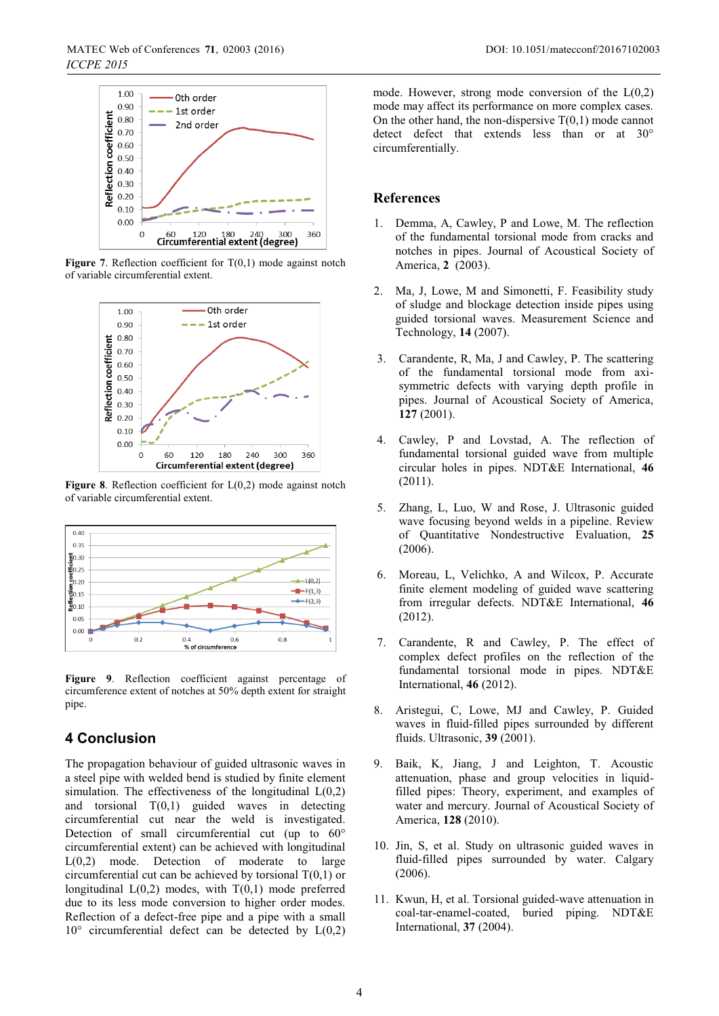

**Figure 7**. Reflection coefficient for  $T(0,1)$  mode against notch of variable circumferential extent.



**Figure 8**. Reflection coefficient for L(0,2) mode against notch of variable circumferential extent.



**Figure 9**. Reflection coefficient against percentage of circumference extent of notches at 50% depth extent for straight pipe.

## **4 Conclusion**

The propagation behaviour of guided ultrasonic waves in a steel pipe with welded bend is studied by finite element simulation. The effectiveness of the longitudinal  $L(0,2)$ and torsional  $T(0,1)$  guided waves in detecting circumferential cut near the weld is investigated. Detection of small circumferential cut (up to 60° circumferential extent) can be achieved with longitudinal L(0,2) mode. Detection of moderate to large circumferential cut can be achieved by torsional  $T(0,1)$  or longitudinal  $L(0,2)$  modes, with  $T(0,1)$  mode preferred due to its less mode conversion to higher order modes. Reflection of a defect-free pipe and a pipe with a small  $10^{\circ}$  circumferential defect can be detected by  $L(0,2)$ 

mode. However, strong mode conversion of the  $L(0,2)$ mode may affect its performance on more complex cases. On the other hand, the non-dispersive  $T(0,1)$  mode cannot detect defect that extends less than or at 30° circumferentially.

#### **References**

- 1. Demma, A, Cawley, P and Lowe, M. The reflection of the fundamental torsional mode from cracks and notches in pipes. Journal of Acoustical Society of America, **2** (2003).
- 2. Ma, J, Lowe, M and Simonetti, F. Feasibility study of sludge and blockage detection inside pipes using guided torsional waves. Measurement Science and Technology, **14** (2007).
- 3. Carandente, R, Ma, J and Cawley, P. The scattering of the fundamental torsional mode from axisymmetric defects with varying depth profile in pipes. Journal of Acoustical Society of America, **127** (2001).
- 4. Cawley, P and Lovstad, A. The reflection of fundamental torsional guided wave from multiple circular holes in pipes. NDT&E International, **46** (2011).
- 5. Zhang, L, Luo, W and Rose, J. Ultrasonic guided wave focusing beyond welds in a pipeline. Review of Quantitative Nondestructive Evaluation, **25** (2006).
- 6. Moreau, L, Velichko, A and Wilcox, P. Accurate finite element modeling of guided wave scattering from irregular defects. NDT&E International, **46** (2012).
- 7. Carandente, R and Cawley, P. The effect of complex defect profiles on the reflection of the fundamental torsional mode in pipes. NDT&E International, **46** (2012).
- 8. Aristegui, C, Lowe, MJ and Cawley, P. Guided waves in fluid-filled pipes surrounded by different fluids. Ultrasonic, **39** (2001).
- 9. Baik, K, Jiang, J and Leighton, T. Acoustic attenuation, phase and group velocities in liquidfilled pipes: Theory, experiment, and examples of water and mercury. Journal of Acoustical Society of America, **128** (2010).
- 10. Jin, S, et al. Study on ultrasonic guided waves in fluid-filled pipes surrounded by water. Calgary (2006).
- 11. Kwun, H, et al. Torsional guided-wave attenuation in coal-tar-enamel-coated, buried piping. NDT&E International, **37** (2004).